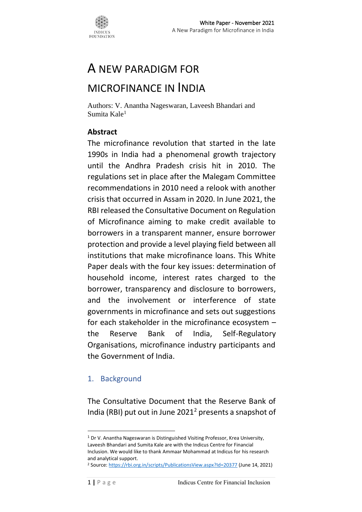

# A NEW PARADIGM FOR

## MICROFINANCE IN INDIA

Authors: V. Anantha Nageswaran, Laveesh Bhandari and Sumita Kale<sup>1</sup>

#### **Abstract**

The microfinance revolution that started in the late 1990s in India had a phenomenal growth trajectory until the Andhra Pradesh crisis hit in 2010. The regulations set in place after the Malegam Committee recommendations in 2010 need a relook with another crisis that occurred in Assam in 2020. In June 2021, the RBI released the Consultative Document on Regulation of Microfinance aiming to make credit available to borrowers in a transparent manner, ensure borrower protection and provide a level playing field between all institutions that make microfinance loans. This White Paper deals with the four key issues: determination of household income, interest rates charged to the borrower, transparency and disclosure to borrowers, and the involvement or interference of state governments in microfinance and sets out suggestions for each stakeholder in the microfinance ecosystem – the Reserve Bank of India, Self-Regulatory Organisations, microfinance industry participants and the Government of India.

#### 1. Background

The Consultative Document that the Reserve Bank of India (RBI) put out in June  $2021<sup>2</sup>$  presents a snapshot of

<sup>&</sup>lt;sup>1</sup> Dr V. Anantha Nageswaran is Distinguished Visiting Professor, Krea University, Laveesh Bhandari and Sumita Kale are with the Indicus Centre for Financial Inclusion. We would like to thank Ammaar Mohammad at Indicus for his research and analytical support.

<sup>2</sup> Source[: https://rbi.org.in/scripts/PublicationsView.aspx?Id=20377](https://rbi.org.in/scripts/PublicationsView.aspx?Id=20377) (June 14, 2021)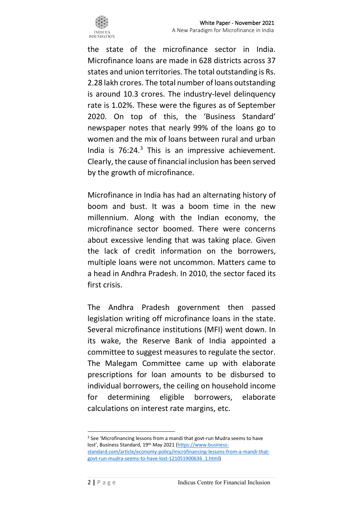

the state of the microfinance sector in India. Microfinance loans are made in 628 districts across 37 states and union territories. The total outstanding is Rs. 2.28 lakh crores. The total number of loans outstanding is around 10.3 crores. The industry-level delinquency rate is 1.02%. These were the figures as of September 2020. On top of this, the 'Business Standard' newspaper notes that nearly 99% of the loans go to women and the mix of loans between rural and urban India is  $76:24.^3$  This is an impressive achievement. Clearly, the cause of financial inclusion has been served by the growth of microfinance.

Microfinance in India has had an alternating history of boom and bust. It was a boom time in the new millennium. Along with the Indian economy, the microfinance sector boomed. There were concerns about excessive lending that was taking place. Given the lack of credit information on the borrowers, multiple loans were not uncommon. Matters came to a head in Andhra Pradesh. In 2010, the sector faced its first crisis.

The Andhra Pradesh government then passed legislation writing off microfinance loans in the state. Several microfinance institutions (MFI) went down. In its wake, the Reserve Bank of India appointed a committee to suggest measures to regulate the sector. The Malegam Committee came up with elaborate prescriptions for loan amounts to be disbursed to individual borrowers, the ceiling on household income for determining eligible borrowers, elaborate calculations on interest rate margins, etc.

<sup>&</sup>lt;sup>3</sup> See 'Microfinancing lessons from a mandi that govt-run Mudra seems to have lost', Business Standard, 19<sup>th</sup> May 2021 [\(https://www.business](https://www.business-standard.com/article/economy-policy/microfinancing-lessons-from-a-mandi-that-govt-run-mudra-seems-to-have-lost-121051900636_1.html)[standard.com/article/economy-policy/microfinancing-lessons-from-a-mandi-that](https://www.business-standard.com/article/economy-policy/microfinancing-lessons-from-a-mandi-that-govt-run-mudra-seems-to-have-lost-121051900636_1.html)[govt-run-mudra-seems-to-have-lost-121051900636\\_1.html\)](https://www.business-standard.com/article/economy-policy/microfinancing-lessons-from-a-mandi-that-govt-run-mudra-seems-to-have-lost-121051900636_1.html)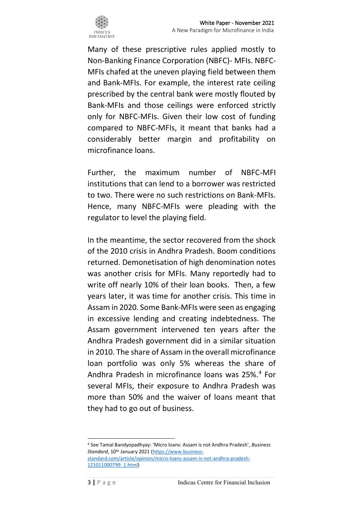

Many of these prescriptive rules applied mostly to Non-Banking Finance Corporation (NBFC)- MFIs. NBFC-MFIs chafed at the uneven playing field between them and Bank-MFIs. For example, the interest rate ceiling prescribed by the central bank were mostly flouted by Bank-MFIs and those ceilings were enforced strictly only for NBFC-MFIs. Given their low cost of funding compared to NBFC-MFIs, it meant that banks had a considerably better margin and profitability on microfinance loans.

Further, the maximum number of NBFC-MFI institutions that can lend to a borrower was restricted to two. There were no such restrictions on Bank-MFIs. Hence, many NBFC-MFIs were pleading with the regulator to level the playing field.

In the meantime, the sector recovered from the shock of the 2010 crisis in Andhra Pradesh. Boom conditions returned. Demonetisation of high denomination notes was another crisis for MFIs. Many reportedly had to write off nearly 10% of their loan books. Then, a few years later, it was time for another crisis. This time in Assam in 2020. Some Bank-MFIs were seen as engaging in excessive lending and creating indebtedness. The Assam government intervened ten years after the Andhra Pradesh government did in a similar situation in 2010. The share of Assam in the overall microfinance loan portfolio was only 5% whereas the share of Andhra Pradesh in microfinance loans was 25%.<sup>4</sup> For several MFIs, their exposure to Andhra Pradesh was more than 50% and the waiver of loans meant that they had to go out of business.

<sup>4</sup> See Tamal Bandyopadhyay: 'Micro loans: Assam is not Andhra Pradesh', *Business Standard*, 10th January 2021 [\(https://www.business-](https://www.business-standard.com/article/opinion/micro-loans-assam-is-not-andhra-pradesh-121011000799_1.html)

[standard.com/article/opinion/micro-loans-assam-is-not-andhra-pradesh-](https://www.business-standard.com/article/opinion/micro-loans-assam-is-not-andhra-pradesh-121011000799_1.html)[121011000799\\_1.html\)](https://www.business-standard.com/article/opinion/micro-loans-assam-is-not-andhra-pradesh-121011000799_1.html)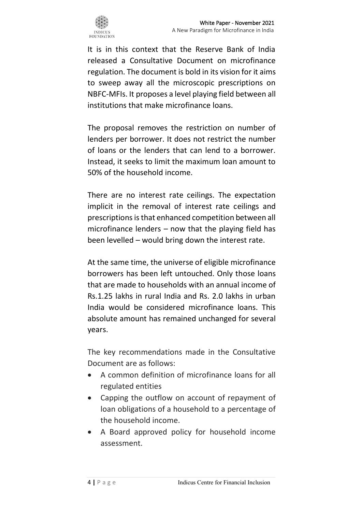

It is in this context that the Reserve Bank of India released a Consultative Document on microfinance regulation. The document is bold in its vision for it aims to sweep away all the microscopic prescriptions on NBFC-MFIs. It proposes a level playing field between all institutions that make microfinance loans.

The proposal removes the restriction on number of lenders per borrower. It does not restrict the number of loans or the lenders that can lend to a borrower. Instead, it seeks to limit the maximum loan amount to 50% of the household income.

There are no interest rate ceilings. The expectation implicit in the removal of interest rate ceilings and prescriptions is that enhanced competition between all microfinance lenders – now that the playing field has been levelled – would bring down the interest rate.

At the same time, the universe of eligible microfinance borrowers has been left untouched. Only those loans that are made to households with an annual income of Rs.1.25 lakhs in rural India and Rs. 2.0 lakhs in urban India would be considered microfinance loans. This absolute amount has remained unchanged for several years.

The key recommendations made in the Consultative Document are as follows:

- A common definition of microfinance loans for all regulated entities
- Capping the outflow on account of repayment of loan obligations of a household to a percentage of the household income.
- A Board approved policy for household income assessment.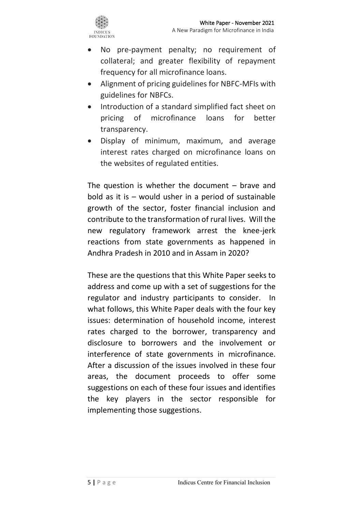

- No pre-payment penalty; no requirement of collateral; and greater flexibility of repayment frequency for all microfinance loans.
- Alignment of pricing guidelines for NBFC-MFIs with guidelines for NBFCs.
- Introduction of a standard simplified fact sheet on pricing of microfinance loans for better transparency.
- Display of minimum, maximum, and average interest rates charged on microfinance loans on the websites of regulated entities.

The question is whether the document  $-$  brave and bold as it is – would usher in a period of sustainable growth of the sector, foster financial inclusion and contribute to the transformation of rural lives. Will the new regulatory framework arrest the knee-jerk reactions from state governments as happened in Andhra Pradesh in 2010 and in Assam in 2020?

These are the questions that this White Paper seeks to address and come up with a set of suggestions for the regulator and industry participants to consider. In what follows, this White Paper deals with the four key issues: determination of household income, interest rates charged to the borrower, transparency and disclosure to borrowers and the involvement or interference of state governments in microfinance. After a discussion of the issues involved in these four areas, the document proceeds to offer some suggestions on each of these four issues and identifies the key players in the sector responsible for implementing those suggestions.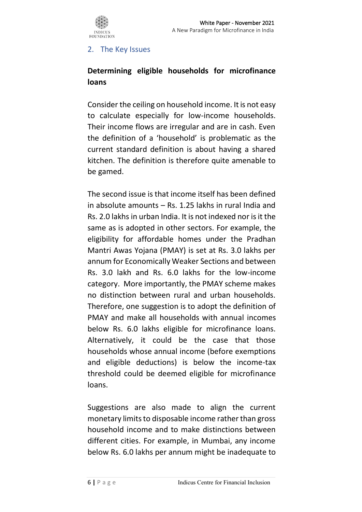

#### 2. The Key Issues

### **Determining eligible households for microfinance loans**

Consider the ceiling on household income. It is not easy to calculate especially for low-income households. Their income flows are irregular and are in cash. Even the definition of a 'household' is problematic as the current standard definition is about having a shared kitchen. The definition is therefore quite amenable to be gamed.

The second issue is that income itself has been defined in absolute amounts – Rs. 1.25 lakhs in rural India and Rs. 2.0 lakhs in urban India. It is not indexed nor is it the same as is adopted in other sectors. For example, the eligibility for affordable homes under the Pradhan Mantri Awas Yojana (PMAY) is set at Rs. 3.0 lakhs per annum for Economically Weaker Sections and between Rs. 3.0 lakh and Rs. 6.0 lakhs for the low-income category. More importantly, the PMAY scheme makes no distinction between rural and urban households. Therefore, one suggestion is to adopt the definition of PMAY and make all households with annual incomes below Rs. 6.0 lakhs eligible for microfinance loans. Alternatively, it could be the case that those households whose annual income (before exemptions and eligible deductions) is below the income-tax threshold could be deemed eligible for microfinance loans.

Suggestions are also made to align the current monetary limits to disposable income rather than gross household income and to make distinctions between different cities. For example, in Mumbai, any income below Rs. 6.0 lakhs per annum might be inadequate to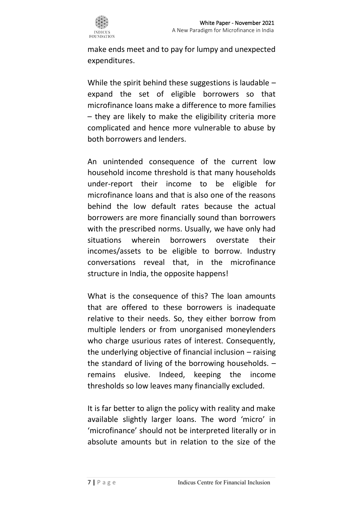make ends meet and to pay for lumpy and unexpected expenditures.

While the spirit behind these suggestions is laudable – expand the set of eligible borrowers so that microfinance loans make a difference to more families – they are likely to make the eligibility criteria more complicated and hence more vulnerable to abuse by both borrowers and lenders.

An unintended consequence of the current low household income threshold is that many households under-report their income to be eligible for microfinance loans and that is also one of the reasons behind the low default rates because the actual borrowers are more financially sound than borrowers with the prescribed norms. Usually, we have only had situations wherein borrowers overstate their incomes/assets to be eligible to borrow. Industry conversations reveal that, in the microfinance structure in India, the opposite happens!

What is the consequence of this? The loan amounts that are offered to these borrowers is inadequate relative to their needs. So, they either borrow from multiple lenders or from unorganised moneylenders who charge usurious rates of interest. Consequently, the underlying objective of financial inclusion – raising the standard of living of the borrowing households. – remains elusive. Indeed, keeping the income thresholds so low leaves many financially excluded.

It is far better to align the policy with reality and make available slightly larger loans. The word 'micro' in 'microfinance' should not be interpreted literally or in absolute amounts but in relation to the size of the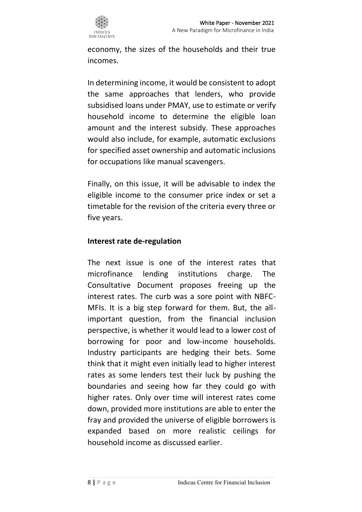

economy, the sizes of the households and their true incomes.

In determining income, it would be consistent to adopt the same approaches that lenders, who provide subsidised loans under PMAY, use to estimate or verify household income to determine the eligible loan amount and the interest subsidy. These approaches would also include, for example, automatic exclusions for specified asset ownership and automatic inclusions for occupations like manual scavengers.

Finally, on this issue, it will be advisable to index the eligible income to the consumer price index or set a timetable for the revision of the criteria every three or five years.

#### **Interest rate de-regulation**

The next issue is one of the interest rates that microfinance lending institutions charge. The Consultative Document proposes freeing up the interest rates. The curb was a sore point with NBFC-MFIs. It is a big step forward for them. But, the allimportant question, from the financial inclusion perspective, is whether it would lead to a lower cost of borrowing for poor and low-income households. Industry participants are hedging their bets. Some think that it might even initially lead to higher interest rates as some lenders test their luck by pushing the boundaries and seeing how far they could go with higher rates. Only over time will interest rates come down, provided more institutions are able to enter the fray and provided the universe of eligible borrowers is expanded based on more realistic ceilings for household income as discussed earlier.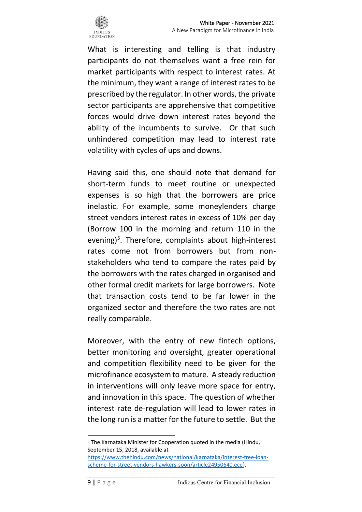

What is interesting and telling is that industry participants do not themselves want a free rein for market participants with respect to interest rates. At the minimum, they want a range of interest rates to be prescribed by the regulator. In other words, the private sector participants are apprehensive that competitive forces would drive down interest rates beyond the ability of the incumbents to survive. Or that such unhindered competition may lead to interest rate volatility with cycles of ups and downs.

Having said this, one should note that demand for short-term funds to meet routine or unexpected expenses is so high that the borrowers are price inelastic. For example, some moneylenders charge street vendors interest rates in excess of 10% per day (Borrow 100 in the morning and return 110 in the evening)<sup>5</sup>. Therefore, complaints about high-interest rates come not from borrowers but from nonstakeholders who tend to compare the rates paid by the borrowers with the rates charged in organised and other formal credit markets for large borrowers. Note that transaction costs tend to be far lower in the organized sector and therefore the two rates are not really comparable.

Moreover, with the entry of new fintech options, better monitoring and oversight, greater operational and competition flexibility need to be given for the microfinance ecosystem to mature. A steady reduction in interventions will only leave more space for entry, and innovation in this space. The question of whether interest rate de-regulation will lead to lower rates in the long run is a matter for the future to settle. But the

<sup>5</sup> The Karnataka Minister for Cooperation quoted in the media (Hindu, September 15, 2018, available at

[https://www.thehindu.com/news/national/karnataka/interest-free-loan](https://www.thehindu.com/news/national/karnataka/interest-free-loan-scheme-for-street-vendors-hawkers-soon/article24950640.ece)[scheme-for-street-vendors-hawkers-soon/article24950640.ece\)](https://www.thehindu.com/news/national/karnataka/interest-free-loan-scheme-for-street-vendors-hawkers-soon/article24950640.ece).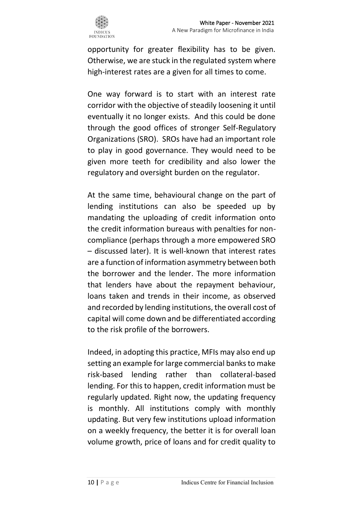opportunity for greater flexibility has to be given. Otherwise, we are stuck in the regulated system where high-interest rates are a given for all times to come.

One way forward is to start with an interest rate corridor with the objective of steadily loosening it until eventually it no longer exists. And this could be done through the good offices of stronger Self-Regulatory Organizations (SRO). SROs have had an important role to play in good governance. They would need to be given more teeth for credibility and also lower the regulatory and oversight burden on the regulator.

At the same time, behavioural change on the part of lending institutions can also be speeded up by mandating the uploading of credit information onto the credit information bureaus with penalties for noncompliance (perhaps through a more empowered SRO – discussed later). It is well-known that interest rates are a function of information asymmetry between both the borrower and the lender. The more information that lenders have about the repayment behaviour, loans taken and trends in their income, as observed and recorded by lending institutions, the overall cost of capital will come down and be differentiated according to the risk profile of the borrowers.

Indeed, in adopting this practice, MFIs may also end up setting an example for large commercial banks to make risk-based lending rather than collateral-based lending. For this to happen, credit information must be regularly updated. Right now, the updating frequency is monthly. All institutions comply with monthly updating. But very few institutions upload information on a weekly frequency, the better it is for overall loan volume growth, price of loans and for credit quality to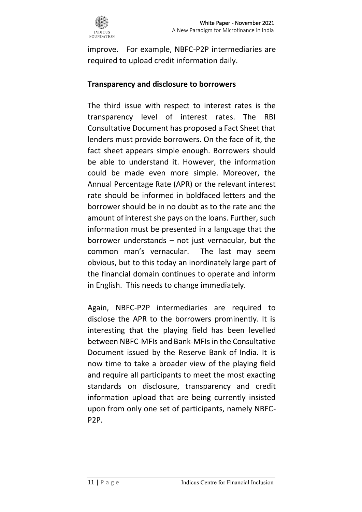

improve. For example, NBFC-P2P intermediaries are required to upload credit information daily.

#### **Transparency and disclosure to borrowers**

The third issue with respect to interest rates is the transparency level of interest rates. The RBI Consultative Document has proposed a Fact Sheet that lenders must provide borrowers. On the face of it, the fact sheet appears simple enough. Borrowers should be able to understand it. However, the information could be made even more simple. Moreover, the Annual Percentage Rate (APR) or the relevant interest rate should be informed in boldfaced letters and the borrower should be in no doubt as to the rate and the amount of interest she pays on the loans. Further, such information must be presented in a language that the borrower understands – not just vernacular, but the common man's vernacular. The last may seem obvious, but to this today an inordinately large part of the financial domain continues to operate and inform in English. This needs to change immediately.

Again, NBFC-P2P intermediaries are required to disclose the APR to the borrowers prominently. It is interesting that the playing field has been levelled between NBFC-MFIs and Bank-MFIs in the Consultative Document issued by the Reserve Bank of India. It is now time to take a broader view of the playing field and require all participants to meet the most exacting standards on disclosure, transparency and credit information upload that are being currently insisted upon from only one set of participants, namely NBFC-P2P.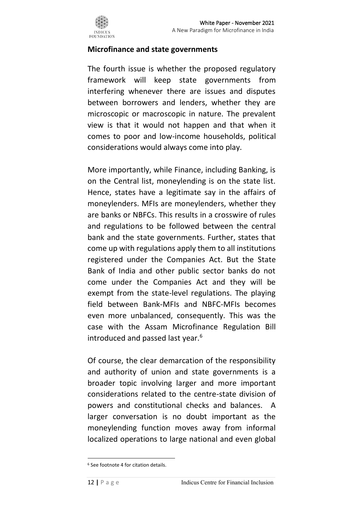

#### **Microfinance and state governments**

The fourth issue is whether the proposed regulatory framework will keep state governments from interfering whenever there are issues and disputes between borrowers and lenders, whether they are microscopic or macroscopic in nature. The prevalent view is that it would not happen and that when it comes to poor and low-income households, political considerations would always come into play.

More importantly, while Finance, including Banking, is on the Central list, moneylending is on the state list. Hence, states have a legitimate say in the affairs of moneylenders. MFIs are moneylenders, whether they are banks or NBFCs. This results in a crosswire of rules and regulations to be followed between the central bank and the state governments. Further, states that come up with regulations apply them to all institutions registered under the Companies Act. But the State Bank of India and other public sector banks do not come under the Companies Act and they will be exempt from the state-level regulations. The playing field between Bank-MFIs and NBFC-MFIs becomes even more unbalanced, consequently. This was the case with the Assam Microfinance Regulation Bill introduced and passed last year.<sup>6</sup>

Of course, the clear demarcation of the responsibility and authority of union and state governments is a broader topic involving larger and more important considerations related to the centre-state division of powers and constitutional checks and balances. A larger conversation is no doubt important as the moneylending function moves away from informal localized operations to large national and even global

<sup>6</sup> See footnote 4 for citation details.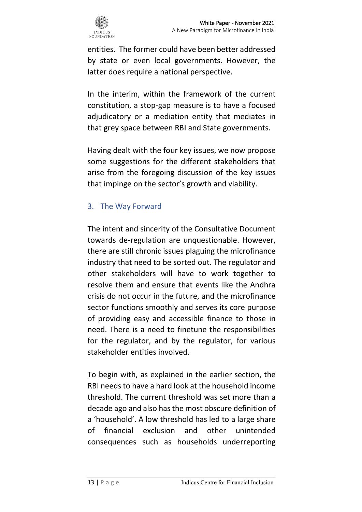entities. The former could have been better addressed by state or even local governments. However, the latter does require a national perspective.

In the interim, within the framework of the current constitution, a stop-gap measure is to have a focused adjudicatory or a mediation entity that mediates in that grey space between RBI and State governments.

Having dealt with the four key issues, we now propose some suggestions for the different stakeholders that arise from the foregoing discussion of the key issues that impinge on the sector's growth and viability.

#### 3. The Way Forward

The intent and sincerity of the Consultative Document towards de-regulation are unquestionable. However, there are still chronic issues plaguing the microfinance industry that need to be sorted out. The regulator and other stakeholders will have to work together to resolve them and ensure that events like the Andhra crisis do not occur in the future, and the microfinance sector functions smoothly and serves its core purpose of providing easy and accessible finance to those in need. There is a need to finetune the responsibilities for the regulator, and by the regulator, for various stakeholder entities involved.

To begin with, as explained in the earlier section, the RBI needs to have a hard look at the household income threshold. The current threshold was set more than a decade ago and also has the most obscure definition of a 'household'. A low threshold has led to a large share of financial exclusion and other unintended consequences such as households underreporting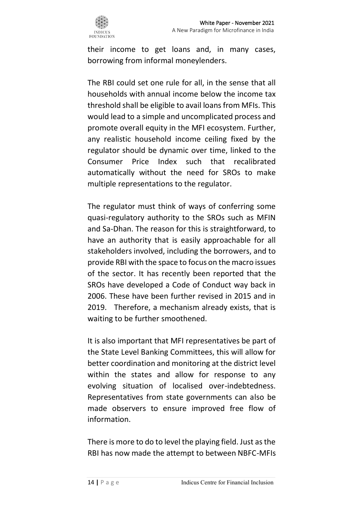

their income to get loans and, in many cases, borrowing from informal moneylenders.

The RBI could set one rule for all, in the sense that all households with annual income below the income tax threshold shall be eligible to avail loans from MFIs. This would lead to a simple and uncomplicated process and promote overall equity in the MFI ecosystem. Further, any realistic household income ceiling fixed by the regulator should be dynamic over time, linked to the Consumer Price Index such that recalibrated automatically without the need for SROs to make multiple representations to the regulator.

The regulator must think of ways of conferring some quasi-regulatory authority to the SROs such as MFIN and Sa-Dhan. The reason for this is straightforward, to have an authority that is easily approachable for all stakeholders involved, including the borrowers, and to provide RBI with the space to focus on the macro issues of the sector. It has recently been reported that the SROs have developed a Code of Conduct way back in 2006. These have been further revised in 2015 and in 2019. Therefore, a mechanism already exists, that is waiting to be further smoothened.

It is also important that MFI representatives be part of the State Level Banking Committees, this will allow for better coordination and monitoring at the district level within the states and allow for response to any evolving situation of localised over-indebtedness. Representatives from state governments can also be made observers to ensure improved free flow of information.

There is more to do to level the playing field. Just as the RBI has now made the attempt to between NBFC-MFIs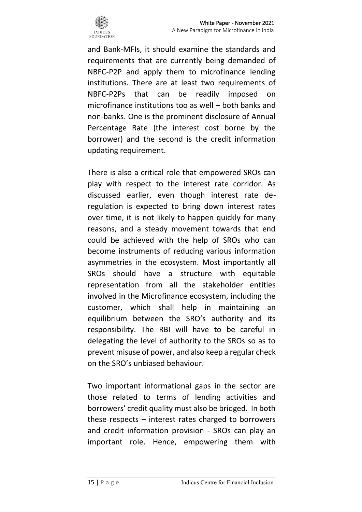

and Bank-MFIs, it should examine the standards and requirements that are currently being demanded of NBFC-P2P and apply them to microfinance lending institutions. There are at least two requirements of NBFC-P2Ps that can be readily imposed on microfinance institutions too as well – both banks and non-banks. One is the prominent disclosure of Annual Percentage Rate (the interest cost borne by the borrower) and the second is the credit information updating requirement.

There is also a critical role that empowered SROs can play with respect to the interest rate corridor. As discussed earlier, even though interest rate deregulation is expected to bring down interest rates over time, it is not likely to happen quickly for many reasons, and a steady movement towards that end could be achieved with the help of SROs who can become instruments of reducing various information asymmetries in the ecosystem. Most importantly all SROs should have a structure with equitable representation from all the stakeholder entities involved in the Microfinance ecosystem, including the customer, which shall help in maintaining an equilibrium between the SRO's authority and its responsibility. The RBI will have to be careful in delegating the level of authority to the SROs so as to prevent misuse of power, and also keep a regular check on the SRO's unbiased behaviour.

Two important informational gaps in the sector are those related to terms of lending activities and borrowers' credit quality must also be bridged. In both these respects – interest rates charged to borrowers and credit information provision - SROs can play an important role. Hence, empowering them with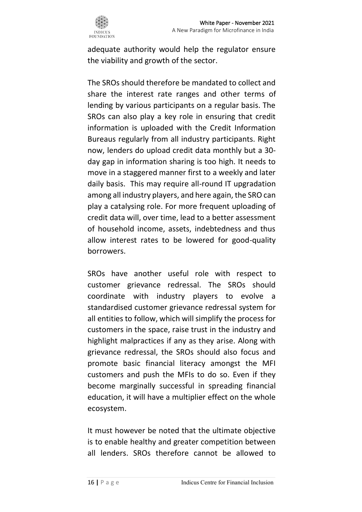

adequate authority would help the regulator ensure the viability and growth of the sector.

The SROs should therefore be mandated to collect and share the interest rate ranges and other terms of lending by various participants on a regular basis. The SROs can also play a key role in ensuring that credit information is uploaded with the Credit Information Bureaus regularly from all industry participants. Right now, lenders do upload credit data monthly but a 30 day gap in information sharing is too high. It needs to move in a staggered manner first to a weekly and later daily basis. This may require all-round IT upgradation among all industry players, and here again, the SRO can play a catalysing role. For more frequent uploading of credit data will, over time, lead to a better assessment of household income, assets, indebtedness and thus allow interest rates to be lowered for good-quality borrowers.

SROs have another useful role with respect to customer grievance redressal. The SROs should coordinate with industry players to evolve a standardised customer grievance redressal system for all entities to follow, which will simplify the process for customers in the space, raise trust in the industry and highlight malpractices if any as they arise. Along with grievance redressal, the SROs should also focus and promote basic financial literacy amongst the MFI customers and push the MFIs to do so. Even if they become marginally successful in spreading financial education, it will have a multiplier effect on the whole ecosystem.

It must however be noted that the ultimate objective is to enable healthy and greater competition between all lenders. SROs therefore cannot be allowed to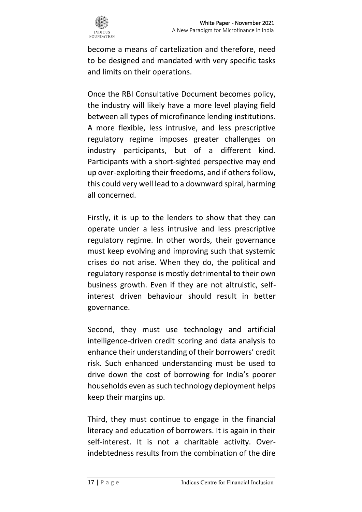

become a means of cartelization and therefore, need to be designed and mandated with very specific tasks and limits on their operations.

Once the RBI Consultative Document becomes policy, the industry will likely have a more level playing field between all types of microfinance lending institutions. A more flexible, less intrusive, and less prescriptive regulatory regime imposes greater challenges on industry participants, but of a different kind. Participants with a short-sighted perspective may end up over-exploiting their freedoms, and if others follow, this could very well lead to a downward spiral, harming all concerned.

Firstly, it is up to the lenders to show that they can operate under a less intrusive and less prescriptive regulatory regime. In other words, their governance must keep evolving and improving such that systemic crises do not arise. When they do, the political and regulatory response is mostly detrimental to their own business growth. Even if they are not altruistic, selfinterest driven behaviour should result in better governance.

Second, they must use technology and artificial intelligence-driven credit scoring and data analysis to enhance their understanding of their borrowers' credit risk. Such enhanced understanding must be used to drive down the cost of borrowing for India's poorer households even as such technology deployment helps keep their margins up.

Third, they must continue to engage in the financial literacy and education of borrowers. It is again in their self-interest. It is not a charitable activity. Overindebtedness results from the combination of the dire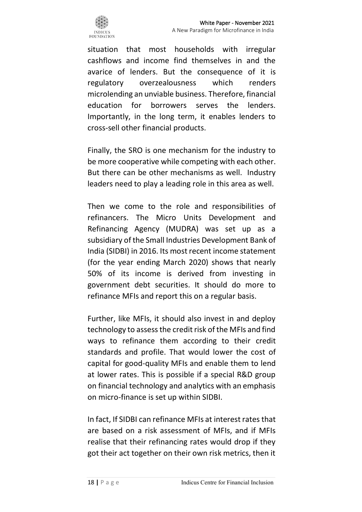

situation that most households with irregular cashflows and income find themselves in and the avarice of lenders. But the consequence of it is regulatory overzealousness which renders microlending an unviable business. Therefore, financial education for borrowers serves the lenders. Importantly, in the long term, it enables lenders to cross-sell other financial products.

Finally, the SRO is one mechanism for the industry to be more cooperative while competing with each other. But there can be other mechanisms as well. Industry leaders need to play a leading role in this area as well.

Then we come to the role and responsibilities of refinancers. The Micro Units Development and Refinancing Agency (MUDRA) was set up as a subsidiary of the Small Industries Development Bank of India (SIDBI) in 2016. Its most recent income statement (for the year ending March 2020) shows that nearly 50% of its income is derived from investing in government debt securities. It should do more to refinance MFIs and report this on a regular basis.

Further, like MFIs, it should also invest in and deploy technology to assess the credit risk of the MFIs and find ways to refinance them according to their credit standards and profile. That would lower the cost of capital for good-quality MFIs and enable them to lend at lower rates. This is possible if a special R&D group on financial technology and analytics with an emphasis on micro-finance is set up within SIDBI.

In fact, If SIDBI can refinance MFIs at interest rates that are based on a risk assessment of MFIs, and if MFIs realise that their refinancing rates would drop if they got their act together on their own risk metrics, then it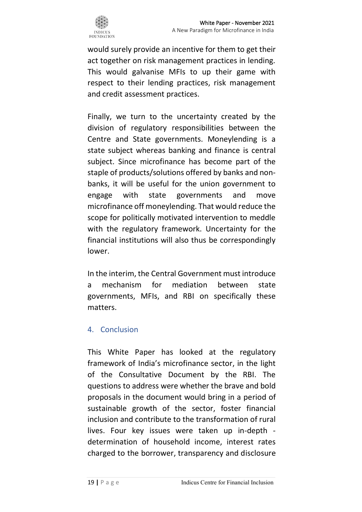

would surely provide an incentive for them to get their act together on risk management practices in lending. This would galvanise MFIs to up their game with respect to their lending practices, risk management and credit assessment practices.

Finally, we turn to the uncertainty created by the division of regulatory responsibilities between the Centre and State governments. Moneylending is a state subject whereas banking and finance is central subject. Since microfinance has become part of the staple of products/solutions offered by banks and nonbanks, it will be useful for the union government to engage with state governments and move microfinance off moneylending. That would reduce the scope for politically motivated intervention to meddle with the regulatory framework. Uncertainty for the financial institutions will also thus be correspondingly lower.

In the interim, the Central Government must introduce a mechanism for mediation between state governments, MFIs, and RBI on specifically these matters.

#### 4. Conclusion

This White Paper has looked at the regulatory framework of India's microfinance sector, in the light of the Consultative Document by the RBI. The questions to address were whether the brave and bold proposals in the document would bring in a period of sustainable growth of the sector, foster financial inclusion and contribute to the transformation of rural lives. Four key issues were taken up in-depth determination of household income, interest rates charged to the borrower, transparency and disclosure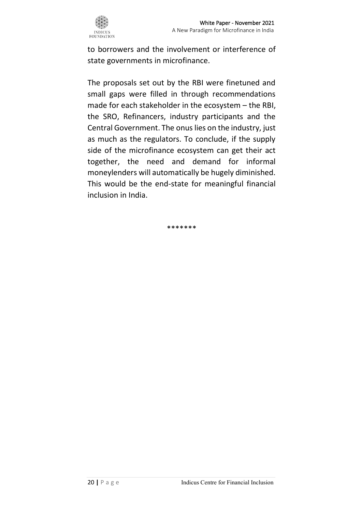

to borrowers and the involvement or interference of state governments in microfinance.

The proposals set out by the RBI were finetuned and small gaps were filled in through recommendations made for each stakeholder in the ecosystem – the RBI, the SRO, Refinancers, industry participants and the Central Government. The onus lies on the industry, just as much as the regulators. To conclude, if the supply side of the microfinance ecosystem can get their act together, the need and demand for informal moneylenders will automatically be hugely diminished. This would be the end-state for meaningful financial inclusion in India.

\*\*\*\*\*\*\*